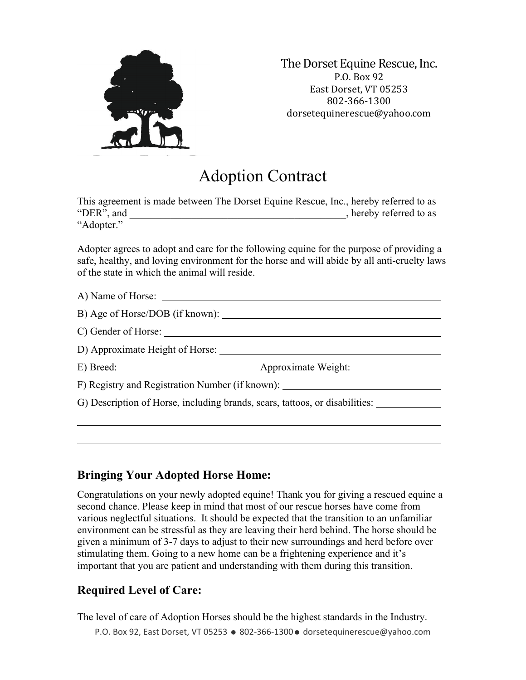

The Dorset Equine Rescue, Inc. P.O. Box 92 East Dorset, VT 05253 802-366-1300 dorsetequinerescue@yahoo.com

## Adoption Contract

This agreement is made between The Dorset Equine Rescue, Inc., hereby referred to as "DER", and  $\blacksquare$  . hereby referred to as "Adopter."

Adopter agrees to adopt and care for the following equine for the purpose of providing a safe, healthy, and loving environment for the horse and will abide by all anti-cruelty laws of the state in which the animal will reside.

| A) Name of Horse:                                                                |                                                                             |
|----------------------------------------------------------------------------------|-----------------------------------------------------------------------------|
|                                                                                  |                                                                             |
|                                                                                  |                                                                             |
| D) Approximate Height of Horse:                                                  |                                                                             |
|                                                                                  |                                                                             |
| F) Registry and Registration Number (if known): ________________________________ |                                                                             |
|                                                                                  | G) Description of Horse, including brands, scars, tattoos, or disabilities: |
|                                                                                  |                                                                             |
|                                                                                  |                                                                             |

## **Bringing Your Adopted Horse Home:**

Congratulations on your newly adopted equine! Thank you for giving a rescued equine a second chance. Please keep in mind that most of our rescue horses have come from various neglectful situations. It should be expected that the transition to an unfamiliar environment can be stressful as they are leaving their herd behind. The horse should be given a minimum of 3-7 days to adjust to their new surroundings and herd before over stimulating them. Going to a new home can be a frightening experience and it's important that you are patient and understanding with them during this transition.

## **Required Level of Care:**

The level of care of Adoption Horses should be the highest standards in the Industry.

P.O. Box 92, East Dorset, VT 05253 · 802-366-1300 · dorsetequinerescue@yahoo.com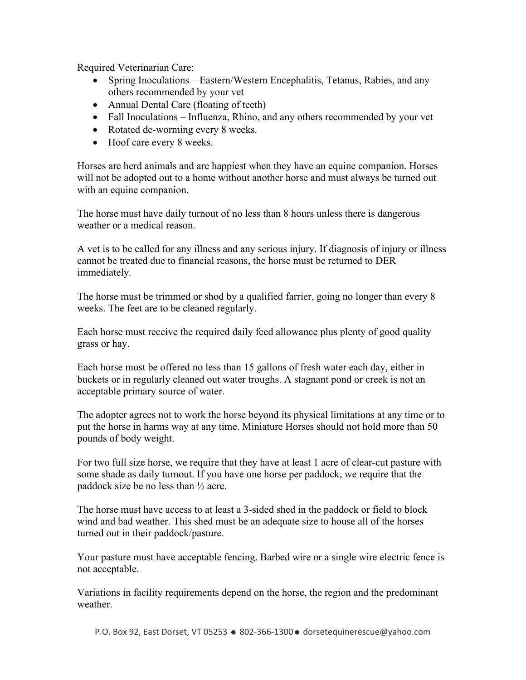Required Veterinarian Care:

- Spring Inoculations Eastern/Western Encephalitis, Tetanus, Rabies, and any others recommended by your vet
- Annual Dental Care (floating of teeth)
- Fall Inoculations Influenza, Rhino, and any others recommended by your vet
- Rotated de-worming every 8 weeks.
- Hoof care every 8 weeks.

Horses are herd animals and are happiest when they have an equine companion. Horses will not be adopted out to a home without another horse and must always be turned out with an equine companion.

The horse must have daily turnout of no less than 8 hours unless there is dangerous weather or a medical reason.

A vet is to be called for any illness and any serious injury. If diagnosis of injury or illness cannot be treated due to financial reasons, the horse must be returned to DER immediately.

The horse must be trimmed or shod by a qualified farrier, going no longer than every 8 weeks. The feet are to be cleaned regularly.

Each horse must receive the required daily feed allowance plus plenty of good quality grass or hay.

Each horse must be offered no less than 15 gallons of fresh water each day, either in buckets or in regularly cleaned out water troughs. A stagnant pond or creek is not an acceptable primary source of water.

The adopter agrees not to work the horse beyond its physical limitations at any time or to put the horse in harms way at any time. Miniature Horses should not hold more than 50 pounds of body weight.

For two full size horse, we require that they have at least 1 acre of clear-cut pasture with some shade as daily turnout. If you have one horse per paddock, we require that the paddock size be no less than  $\frac{1}{2}$  acre.

The horse must have access to at least a 3-sided shed in the paddock or field to block wind and bad weather. This shed must be an adequate size to house all of the horses turned out in their paddock/pasture.

Your pasture must have acceptable fencing. Barbed wire or a single wire electric fence is not acceptable.

Variations in facility requirements depend on the horse, the region and the predominant weather.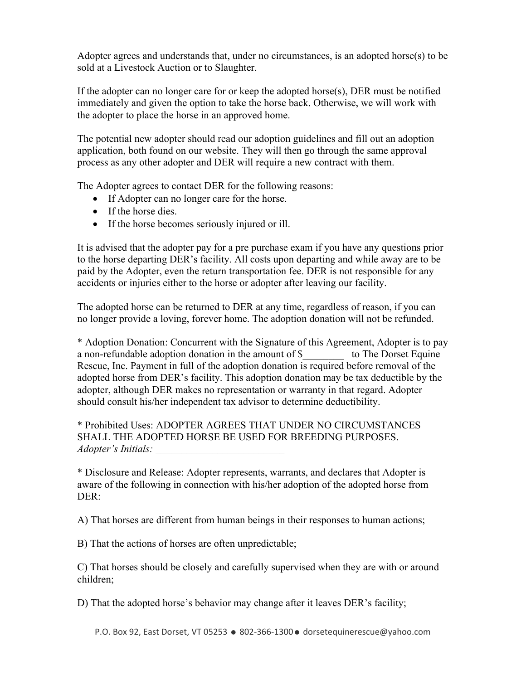Adopter agrees and understands that, under no circumstances, is an adopted horse(s) to be sold at a Livestock Auction or to Slaughter.

If the adopter can no longer care for or keep the adopted horse(s), DER must be notified immediately and given the option to take the horse back. Otherwise, we will work with the adopter to place the horse in an approved home.

The potential new adopter should read our adoption guidelines and fill out an adoption application, both found on our website. They will then go through the same approval process as any other adopter and DER will require a new contract with them.

The Adopter agrees to contact DER for the following reasons:

- If Adopter can no longer care for the horse.
- If the horse dies.
- If the horse becomes seriously injured or ill.

It is advised that the adopter pay for a pre purchase exam if you have any questions prior to the horse departing DER's facility. All costs upon departing and while away are to be paid by the Adopter, even the return transportation fee. DER is not responsible for any accidents or injuries either to the horse or adopter after leaving our facility.

The adopted horse can be returned to DER at any time, regardless of reason, if you can no longer provide a loving, forever home. The adoption donation will not be refunded.

\* Adoption Donation: Concurrent with the Signature of this Agreement, Adopter is to pay a non-refundable adoption donation in the amount of \$\_\_\_\_\_\_\_\_ to The Dorset Equine Rescue, Inc. Payment in full of the adoption donation is required before removal of the adopted horse from DER's facility. This adoption donation may be tax deductible by the adopter, although DER makes no representation or warranty in that regard. Adopter should consult his/her independent tax advisor to determine deductibility.

\* Prohibited Uses: ADOPTER AGREES THAT UNDER NO CIRCUMSTANCES SHALL THE ADOPTED HORSE BE USED FOR BREEDING PURPOSES. *Adopter's Initials: \_\_\_\_\_\_\_\_\_\_\_\_\_\_\_\_\_\_\_\_\_\_\_\_\_* 

\* Disclosure and Release: Adopter represents, warrants, and declares that Adopter is aware of the following in connection with his/her adoption of the adopted horse from DER:

A) That horses are different from human beings in their responses to human actions;

B) That the actions of horses are often unpredictable;

C) That horses should be closely and carefully supervised when they are with or around children;

D) That the adopted horse's behavior may change after it leaves DER's facility;

P.O. Box 92, East Dorset, VT 05253 · 802-366-1300 · dorsetequinerescue@yahoo.com